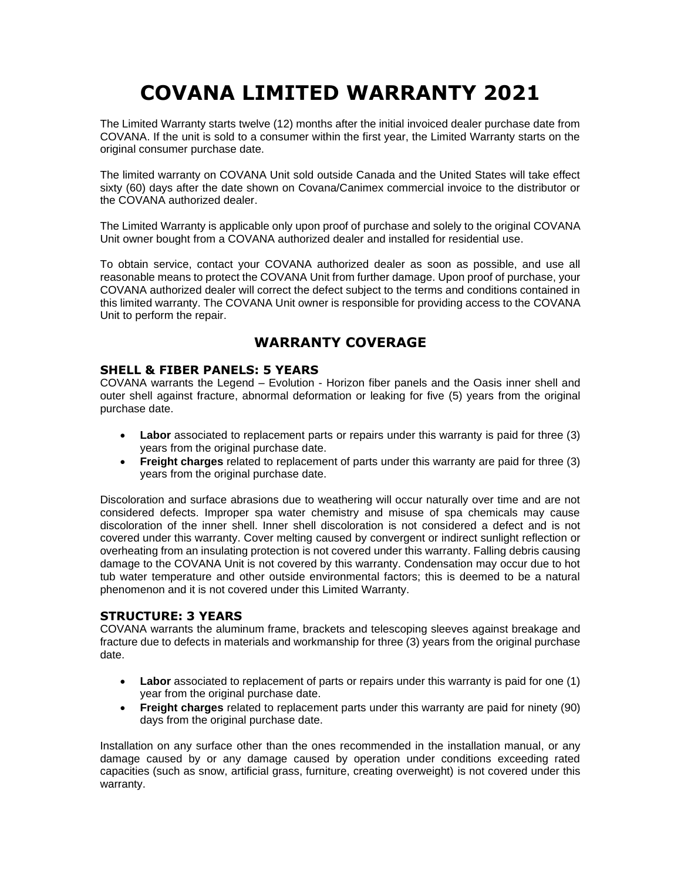# **COVANA LIMITED WARRANTY 2021**

The Limited Warranty starts twelve (12) months after the initial invoiced dealer purchase date from COVANA. If the unit is sold to a consumer within the first year, the Limited Warranty starts on the original consumer purchase date.

The limited warranty on COVANA Unit sold outside Canada and the United States will take effect sixty (60) days after the date shown on Covana/Canimex commercial invoice to the distributor or the COVANA authorized dealer.

The Limited Warranty is applicable only upon proof of purchase and solely to the original COVANA Unit owner bought from a COVANA authorized dealer and installed for residential use.

To obtain service, contact your COVANA authorized dealer as soon as possible, and use all reasonable means to protect the COVANA Unit from further damage. Upon proof of purchase, your COVANA authorized dealer will correct the defect subject to the terms and conditions contained in this limited warranty. The COVANA Unit owner is responsible for providing access to the COVANA Unit to perform the repair.

# **WARRANTY COVERAGE**

## **SHELL & FIBER PANELS: 5 YEARS**

COVANA warrants the Legend – Evolution - Horizon fiber panels and the Oasis inner shell and outer shell against fracture, abnormal deformation or leaking for five (5) years from the original purchase date.

- **Labor** associated to replacement parts or repairs under this warranty is paid for three (3) years from the original purchase date.
- **Freight charges** related to replacement of parts under this warranty are paid for three (3) years from the original purchase date.

Discoloration and surface abrasions due to weathering will occur naturally over time and are not considered defects. Improper spa water chemistry and misuse of spa chemicals may cause discoloration of the inner shell. Inner shell discoloration is not considered a defect and is not covered under this warranty. Cover melting caused by convergent or indirect sunlight reflection or overheating from an insulating protection is not covered under this warranty. Falling debris causing damage to the COVANA Unit is not covered by this warranty. Condensation may occur due to hot tub water temperature and other outside environmental factors; this is deemed to be a natural phenomenon and it is not covered under this Limited Warranty.

## **STRUCTURE: 3 YEARS**

COVANA warrants the aluminum frame, brackets and telescoping sleeves against breakage and fracture due to defects in materials and workmanship for three (3) years from the original purchase date.

- Labor associated to replacement of parts or repairs under this warranty is paid for one (1) year from the original purchase date.
- **Freight charges** related to replacement parts under this warranty are paid for ninety (90) days from the original purchase date.

Installation on any surface other than the ones recommended in the installation manual, or any damage caused by or any damage caused by operation under conditions exceeding rated capacities (such as snow, artificial grass, furniture, creating overweight) is not covered under this warranty.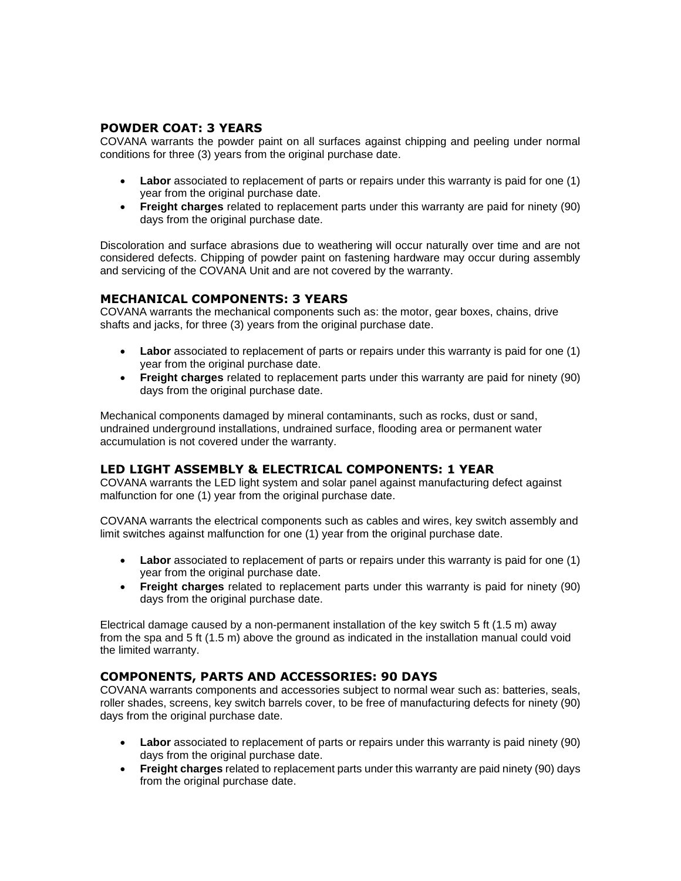## **POWDER COAT: 3 YEARS**

COVANA warrants the powder paint on all surfaces against chipping and peeling under normal conditions for three (3) years from the original purchase date.

- **Labor** associated to replacement of parts or repairs under this warranty is paid for one (1) year from the original purchase date.
- **Freight charges** related to replacement parts under this warranty are paid for ninety (90) days from the original purchase date.

Discoloration and surface abrasions due to weathering will occur naturally over time and are not considered defects. Chipping of powder paint on fastening hardware may occur during assembly and servicing of the COVANA Unit and are not covered by the warranty.

#### **MECHANICAL COMPONENTS: 3 YEARS**

COVANA warrants the mechanical components such as: the motor, gear boxes, chains, drive shafts and jacks, for three (3) years from the original purchase date.

- **Labor** associated to replacement of parts or repairs under this warranty is paid for one (1) year from the original purchase date.
- **Freight charges** related to replacement parts under this warranty are paid for ninety (90) days from the original purchase date.

Mechanical components damaged by mineral contaminants, such as rocks, dust or sand, undrained underground installations, undrained surface, flooding area or permanent water accumulation is not covered under the warranty.

#### **LED LIGHT ASSEMBLY & ELECTRICAL COMPONENTS: 1 YEAR**

COVANA warrants the LED light system and solar panel against manufacturing defect against malfunction for one (1) year from the original purchase date.

COVANA warrants the electrical components such as cables and wires, key switch assembly and limit switches against malfunction for one (1) year from the original purchase date.

- Labor associated to replacement of parts or repairs under this warranty is paid for one (1) year from the original purchase date.
- **Freight charges** related to replacement parts under this warranty is paid for ninety (90) days from the original purchase date.

Electrical damage caused by a non-permanent installation of the key switch 5 ft (1.5 m) away from the spa and 5 ft (1.5 m) above the ground as indicated in the installation manual could void the limited warranty.

#### **COMPONENTS, PARTS AND ACCESSORIES: 90 DAYS**

COVANA warrants components and accessories subject to normal wear such as: batteries, seals, roller shades, screens, key switch barrels cover, to be free of manufacturing defects for ninety (90) days from the original purchase date.

- **Labor** associated to replacement of parts or repairs under this warranty is paid ninety (90) days from the original purchase date.
- **Freight charges** related to replacement parts under this warranty are paid ninety (90) days from the original purchase date.